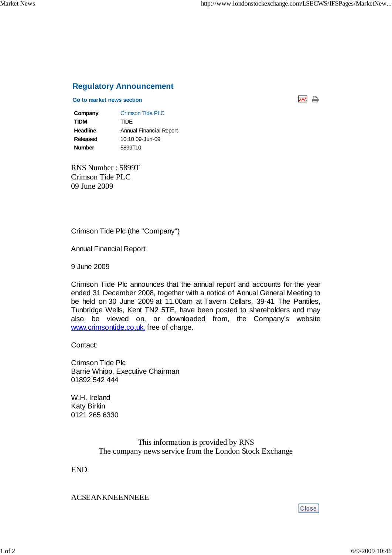처 남

## **Regulatory Announcement**

## **Go to market news section**

**Company** Crimson Tide PLC **TIDM** TIDE **Headline** Annual Financial Report **Released** 10:10 09-Jun-09 **Number** 5899T10

RNS Number : 5899T Crimson Tide PLC 09 June 2009

Crimson Tide Plc (the "Company")

Annual Financial Report

9 June 2009

Crimson Tide Plc announces that the annual report and accounts for the year ended 31 December 2008, together with a notice of Annual General Meeting to be held on 30 June 2009 at 11.00am at Tavern Cellars, 39-41 The Pantiles, Tunbridge Wells, Kent TN2 5TE, have been posted to shareholders and may also be viewed on, or downloaded from, the Company's website www.crimsontide.co.uk, free of charge.

Contact:

Crimson Tide Plc Barrie Whipp, Executive Chairman 01892 542 444

W.H. Ireland Katy Birkin 0121 265 6330

> This information is provided by RNS The company news service from the London Stock Exchange

END

ACSEANKNEENNEEE